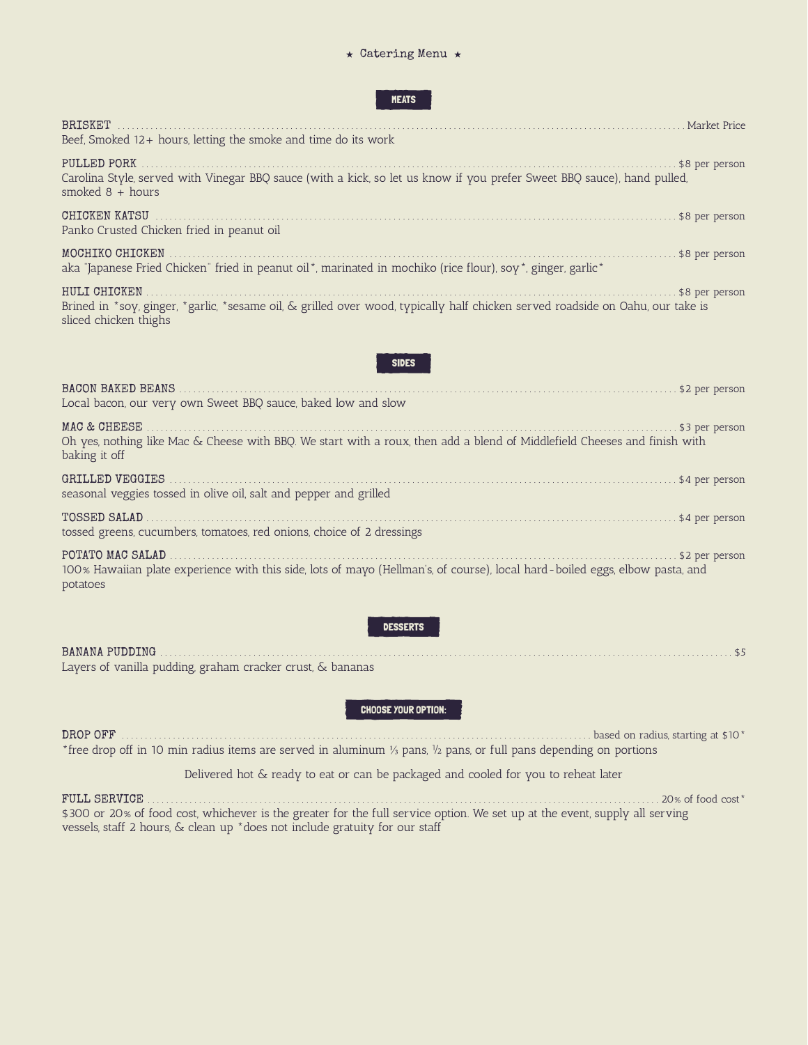## $\star$  Catering Menu  $\star$

## MEATS

| <b>BRISKET</b><br>Market Price<br>Beef, Smoked $12+$ hours, letting the smoke and time do its work                                                                                        |
|-------------------------------------------------------------------------------------------------------------------------------------------------------------------------------------------|
| PULLED PORK<br>\$8 per person<br>Carolina Style, served with Vinegar BBQ sauce (with a kick, so let us know if you prefer Sweet BBQ sauce), hand pulled,<br>smoked $8 + hours$            |
| CHICKEN KATSU<br>\$8 per person<br>Panko Crusted Chicken fried in peanut oil                                                                                                              |
| MOCHIKO CHICKEN<br>\$8 per person<br>aka "Japanese Fried Chicken" fried in peanut oil*, marinated in mochiko (rice flour), soy*, ginger, garlic*                                          |
| HULI CHICKEN<br>\$8 per person<br>Brined in *soy, ginger, *garlic, *sesame oil, & grilled over wood, typically half chicken served roadside on Oahu, our take is<br>sliced chicken thighs |
|                                                                                                                                                                                           |

| Local bacon, our very own Sweet BBQ sauce, baked low and slow                                                                                                |                  |
|--------------------------------------------------------------------------------------------------------------------------------------------------------------|------------------|
| Oh yes, nothing like Mac & Cheese with BBQ. We start with a roux, then add a blend of Middlefield Cheeses and finish with<br>baking it off                   | . \$3 per person |
| seasonal veggies tossed in olive oil, salt and pepper and grilled                                                                                            | . \$4 per person |
| TOSSED SALAD<br>tossed greens, cucumbers, tomatoes, red onions, choice of 2 dressings                                                                        |                  |
| POTATO MAC SALAD<br>100% Hawaiian plate experience with this side, lots of mayo (Hellman's, of course), local hard-boiled eggs, elbow pasta, and<br>potatoes | \$2 per person   |

## DESSERTS

| Layers of vanilla pudding, graham cracker crust, & bananas |  |
|------------------------------------------------------------|--|

## CHOOSE YOUR OPTION:

DROP OFF . . . . . . . . . . . . . . . . . . . . . . . . . . . . . . . . . . . . . . . . . . . . . . . . . . . . . . . . . . . . . . . . . . . . . . . . . . . . . . . . . . . . . . . . . . . . . . . . . . . . . based on radius, starting at \$10\* \*free drop off in 10 min radius items are served in aluminum ⅓ pans, ½ pans, or full pans depending on portions

Delivered hot & ready to eat or can be packaged and cooled for you to reheat later

FULL SERVICE . . . . . . . . . . . . . . . . . . . . . . . . . . . . . . . . . . . . . . . . . . . . . . . . . . . . . . . . . . . . . . . . . . . . . . . . . . . . . . . . . . . . . . . . . . . . . . . . . . . . . . . . . . . . . . 20% of food cost\* \$300 or 20% of food cost, whichever is the greater for the full service option. We set up at the event, supply all serving vessels, staff 2 hours, & clean up \*does not include gratuity for our staff